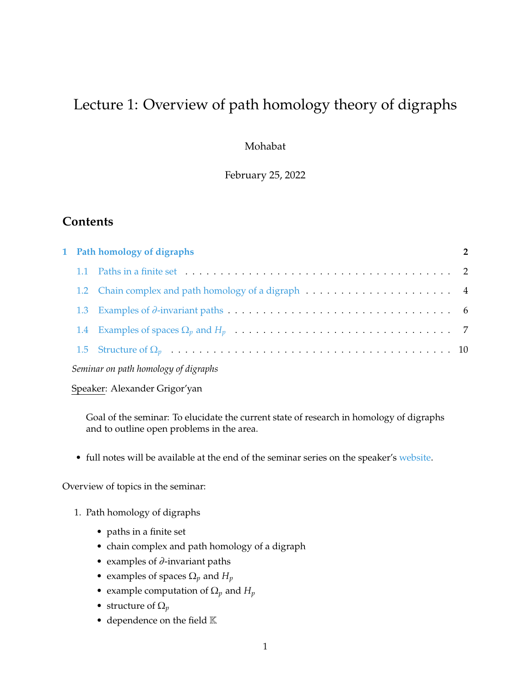# Lecture 1: Overview of path homology theory of digraphs

Mohabat

February 25, 2022

## **Contents**

|                                      |  | 1 Path homology of digraphs                                                                                                       |  |
|--------------------------------------|--|-----------------------------------------------------------------------------------------------------------------------------------|--|
|                                      |  | 1.1 Paths in a finite set $\dots \dots \dots \dots \dots \dots \dots \dots \dots \dots \dots \dots \dots \dots \dots \dots \dots$ |  |
|                                      |  |                                                                                                                                   |  |
|                                      |  |                                                                                                                                   |  |
|                                      |  |                                                                                                                                   |  |
|                                      |  |                                                                                                                                   |  |
| Seminar on path homology of digraphs |  |                                                                                                                                   |  |

Speaker: Alexander Grigor'yan

Goal of the seminar: To elucidate the current state of research in homology of digraphs and to outline open problems in the area.

• full notes will be available at the end of the seminar series on the speaker's [website.](https://www.math.uni-bielefeld.de/~grigor/)

Overview of topics in the seminar:

- 1. Path homology of digraphs
	- paths in a finite set
	- chain complex and path homology of a digraph
	- examples of  $\partial$ -invariant paths
	- examples of spaces  $\Omega_p$  and  $H_p$
	- example computation of  $\Omega_p$  and  $H_p$
	- structure of  $\Omega_p$
	- dependence on the field  $K$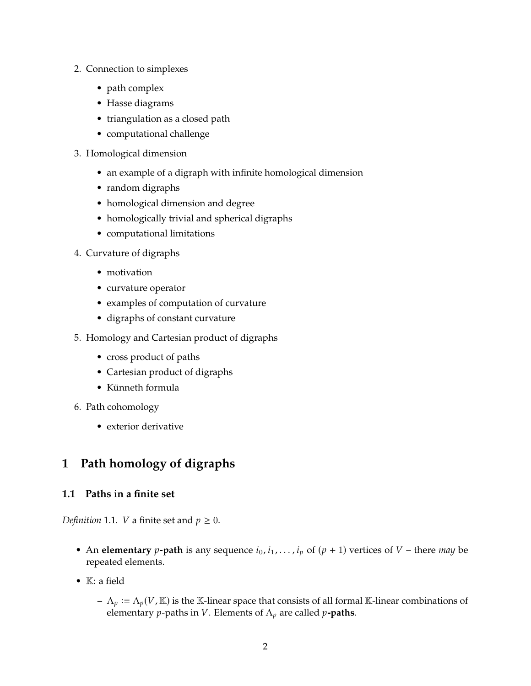- 2. Connection to simplexes
	- path complex
	- Hasse diagrams
	- triangulation as a closed path
	- computational challenge
- 3. Homological dimension
	- an example of a digraph with infinite homological dimension
	- random digraphs
	- homological dimension and degree
	- homologically trivial and spherical digraphs
	- computational limitations
- 4. Curvature of digraphs
	- motivation
	- curvature operator
	- examples of computation of curvature
	- digraphs of constant curvature
- 5. Homology and Cartesian product of digraphs
	- cross product of paths
	- Cartesian product of digraphs
	- Künneth formula
- 6. Path cohomology
	- exterior derivative

## <span id="page-1-0"></span>**1 Path homology of digraphs**

## <span id="page-1-1"></span>**1.1 Paths in a finite set**

*Definition* 1.1*. V* a finite set and  $p \ge 0$ *.* 

- An **elementary** *p*-path is any sequence  $i_0$ ,  $i_1$ , ...,  $i_p$  of ( $p + 1$ ) vertices of  $V$  there *may* be repeated elements.
- K: a field
	- $-\Lambda_p := \Lambda_p(V, \mathbb{K})$  is the K-linear space that consists of all formal K-linear combinations of clomontary n-paths in *V*. Flomonts of  $\Lambda$ , are called n-**paths** elementary *p*-paths in *V*. Elements of  $\Lambda_p$  are called *p*-paths.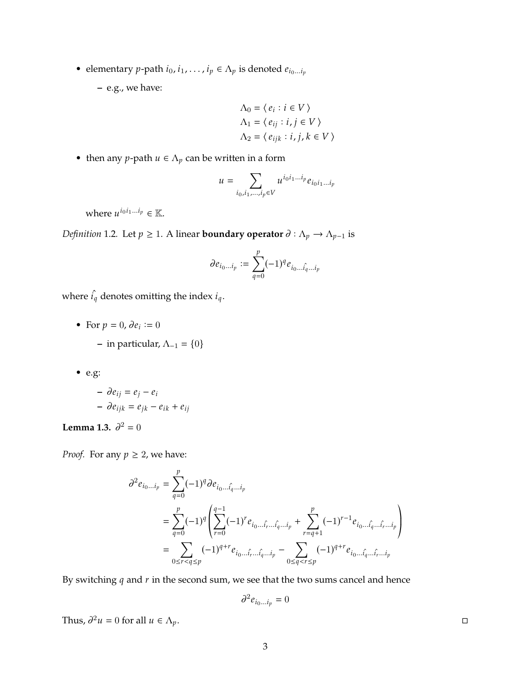• elementary  $p$ -path  $i_0, i_1, \ldots, i_p \in \Lambda_p$  is denoted  $e_{i_0 \ldots i_p}$ 

**–** e.g., we have:

$$
\Lambda_0 = \langle e_i : i \in V \rangle
$$
  
\n
$$
\Lambda_1 = \langle e_{ij} : i, j \in V \rangle
$$
  
\n
$$
\Lambda_2 = \langle e_{ijk} : i, j, k \in V \rangle
$$

• then any *p*-path  $u \in \Lambda_p$  can be written in a form

$$
u = \sum_{i_0, i_1, \dots, i_p \in V} u^{i_0 i_1 \dots i_p} e_{i_0 i_1 \dots i_p}
$$

where  $u^{i_0 i_1 \ldots i_p} \in \mathbb{K}$ .

*Definition* 1.2*.* Let  $p \ge 1$ *.* A linear **boundary operator**  $\partial : \Lambda_p \to \Lambda_{p-1}$  is

$$
\partial e_{i_0...i_p} := \sum_{q=0}^p (-1)^q e_{i_0...i_q...i_p}
$$

where  $\hat{i_q}$  denotes omitting the index  $i_q.$ 

- For  $p = 0$ ,  $\partial e_i := 0$ 
	- **–** in particular, Λ−<sup>1</sup> = {0}
- e.g:

$$
- \partial e_{ij} = e_j - e_i
$$
  

$$
- \partial e_{ijk} = e_{jk} - e_{ik} + e_{ij}
$$

**Lemma 1.3.**  $\partial^2 = 0$ 

*Proof.* For any  $p \geq 2$ , we have:

$$
\partial^2 e_{i_0 \dots i_p} = \sum_{q=0}^p (-1)^q \partial e_{i_0 \dots \hat{i}_q \dots i_p}
$$
  
= 
$$
\sum_{q=0}^p (-1)^q \left( \sum_{r=0}^{q-1} (-1)^r e_{i_0 \dots \hat{i}_r \dots \hat{i}_q \dots i_p} + \sum_{r=q+1}^p (-1)^{r-1} e_{i_0 \dots \hat{i}_q \dots \hat{i}_r \dots i_p} \right)
$$
  
= 
$$
\sum_{0 \le r < q \le p} (-1)^{q+r} e_{i_0 \dots \hat{i}_r \dots \hat{i}_q \dots i_p} - \sum_{0 \le q < r \le p} (-1)^{q+r} e_{i_0 \dots \hat{i}_q \dots \hat{i}_r \dots i_p}
$$

By switching  $q$  and  $r$  in the second sum, we see that the two sums cancel and hence

$$
\partial^2 e_{i_0...i_p}=0
$$

Thus,  $\partial^2 u = 0$  for all  $u \in \Lambda_p$ .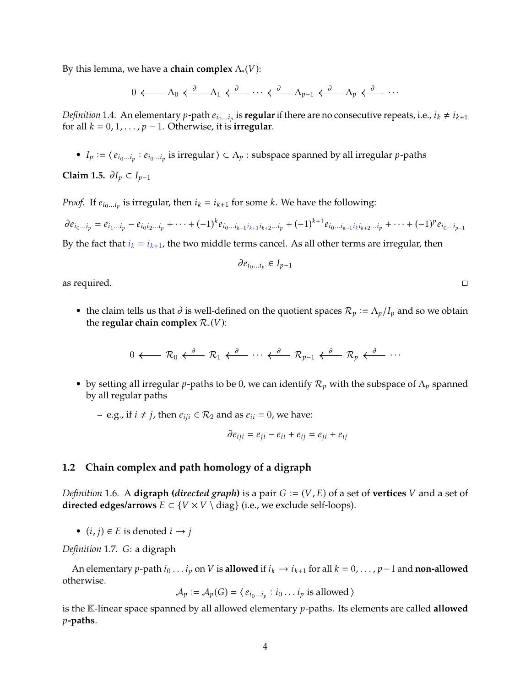By this lemma, we have a **chain complex**  $\Lambda_*(V)$ :

 $0 \longleftarrow \Lambda_0 \stackrel{\partial}{\longleftarrow} \Lambda_1 \stackrel{\partial}{\longleftarrow} \cdots \stackrel{\partial}{\longleftarrow} \Lambda_{p-1} \stackrel{\partial}{\longleftarrow} \Lambda_p \stackrel{\partial}{\longleftarrow} \cdots$ 

*Definition* 1.4. An elementary *p*-path  $e_{i_0...i_p}$  is **regular** if there are no consecutive repeats, i.e.,  $i_k \neq i_{k+1}$ <br>for all  $k = 0, 1, \ldots, n-1$ . Otherwise, it is **irreqular** for all  $k = 0, 1, \ldots, p - 1$ . Otherwise, it is **irregular**.

•  $I_p := \langle e_{i_0...i_p} : e_{i_0...i_p}$  is irregular  $\rangle \subset \Lambda_p$ : subspace spanned by all irregular *p*-paths

**Claim 1.5.**  $\partial I_p \subset I_{p-1}$ 

*Proof.* If  $e_{i_0...i_p}$  is irregular, then  $i_k = i_{k+1}$  for some  $k$ . We have the following:

$$
\partial e_{i_0...i_p} = e_{i_1...i_p} - e_{i_0i_2...i_p} + \cdots + (-1)^k e_{i_0...i_{k-1}i_{k+1}i_{k+2}...i_p} + (-1)^{k+1} e_{i_0...i_{k-1}i_ki_{k+2}...i_p} + \cdots + (-1)^p e_{i_0...i_{p-1}}
$$

By the fact that  $i_k = i_{k+1}$ , the two middle terms cancel. As all other terms are irregular, then

$$
\partial e_{i_0...i_p} \in I_{p-1}
$$

as required.  $\Box$ 

• the claim tells us that  $\partial$  is well-defined on the quotient spaces  $\mathcal{R}_p := \Lambda_p/I_p$  and so we obtain the requient space  $\mathcal{R}_p$  (*V*). the **regular chain complex**  $\mathcal{R}_*(V)$ :

$$
0 \longleftarrow \mathcal{R}_0 \xleftarrow{\partial} \mathcal{R}_1 \xleftarrow{\partial} \cdots \xleftarrow{\partial} \mathcal{R}_{p-1} \xleftarrow{\partial} \mathcal{R}_p \xleftarrow{\partial} \cdots
$$

• by setting all irregular *p*-paths to be 0, we can identify  $\mathcal{R}_p$  with the subspace of  $\Lambda_p$  spanned by all regular paths

**−** e.g., if  $i \neq j$ , then  $e_{ij} \in \mathcal{R}_2$  and as  $e_{ii} = 0$ , we have:

$$
\partial e_{iji}=e_{ji}-e_{ii}+e_{ij}=e_{ji}+e_{ij}
$$

#### <span id="page-3-0"></span>**1.2 Chain complex and path homology of a digraph**

*Definition* 1.6. A **digraph (***directed graph***)** is a pair  $G := (V, E)$  of a set of **vertices** V and a set of **directed edges/arrows**  $E \subset \{V \times V \setminus \text{diag}\}\$  (i.e., we exclude self-loops).

•  $(i, j) \in E$  is denoted  $i \rightarrow j$ 

*Definition* 1.7*.* G: a digraph

An elementary *p*-path  $i_0 \ldots i_p$  on  $V$  is **allowed** if  $i_k \rightarrow i_{k+1}$  for all  $k = 0, \ldots, p-1$  and **non-allowed** otherwise.

$$
\mathcal{A}_p := \mathcal{A}_p(G) = \langle e_{i_0 \dots i_p} : i_0 \dots i_p \text{ is allowed } \rangle
$$

is the K-linear space spanned by all allowed elementary *p*-paths. Its elements are called allowed 𝑝**-paths**.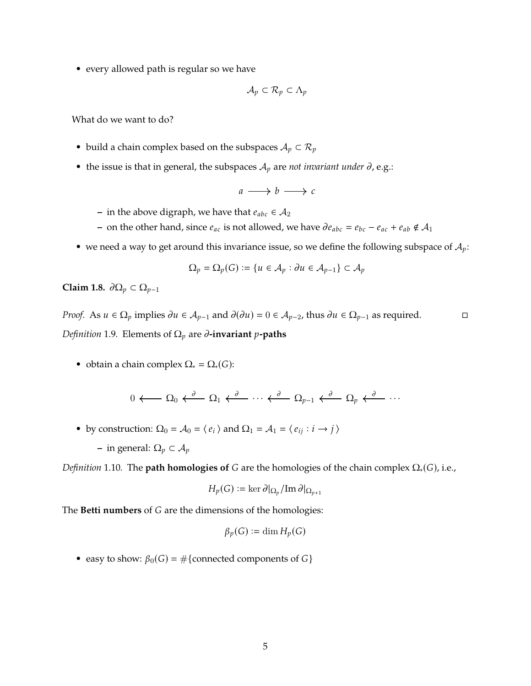• every allowed path is regular so we have

$$
\mathcal{A}_p \subset \mathcal{R}_p \subset \Lambda_p
$$

What do we want to do?

- build a chain complex based on the subspaces  $A_p \subset \mathcal{R}_p$
- the issue is that in general, the subspaces  $A_p$  are *not invariant under*  $\partial$ , e.g.:

$$
a \longrightarrow b \longrightarrow c
$$

- **−** in the above digraph, we have that  $e_{abc} \in \mathcal{A}_2$
- **–** on the other hand, since  $e_{ac}$  is not allowed, we have  $\partial e_{abc} = e_{bc} e_{ac} + e_{ab} \notin \mathcal{A}_1$
- we need a way to get around this invariance issue, so we define the following subspace of  $A_p$ :

$$
\Omega_p = \Omega_p(G) := \{ u \in \mathcal{A}_p : \partial u \in \mathcal{A}_{p-1} \} \subset \mathcal{A}_p
$$

**Claim 1.8.**  $\partial \Omega_p \subset \Omega_{p-1}$ 

*Proof.* As  $u \in \Omega_p$  implies  $\partial u \in A_{p-1}$  and  $\partial(\partial u) = 0 \in A_{p-2}$ , thus  $\partial u \in \Omega_{p-1}$  as required. *Definition* 1.9. Elements of  $\Omega_p$  are  $\partial$ -invariant p-paths

• obtain a chain complex  $\Omega_* = \Omega_*(G)$ :

$$
0 \longleftarrow \Omega_0 \stackrel{\partial}{\longleftarrow} \Omega_1 \stackrel{\partial}{\longleftarrow} \cdots \stackrel{\partial}{\longleftarrow} \Omega_{p-1} \stackrel{\partial}{\longleftarrow} \Omega_p \stackrel{\partial}{\longleftarrow} \cdots
$$

- by construction:  $\Omega_0 = \mathcal{A}_0 = \langle e_i \rangle$  and  $\Omega_1 = \mathcal{A}_1 = \langle e_{ij} : i \rightarrow j \rangle$ 
	- **−** in general:  $Ω<sub>p</sub> ⊂ A<sub>p</sub>$

*Definition* 1.10. The **path homologies of** *G* are the homologies of the chain complex  $\Omega_*(G)$ , i.e.,

$$
H_p(G):=\ker\partial|_{\Omega_p}/\mathrm{Im}\,\partial|_{\Omega_{p+1}}
$$

The **Betti numbers** of G are the dimensions of the homologies:

$$
\beta_p(G):=\dim H_p(G)
$$

• easy to show:  $\beta_0(G) = \#\{\text{connected components of } G\}$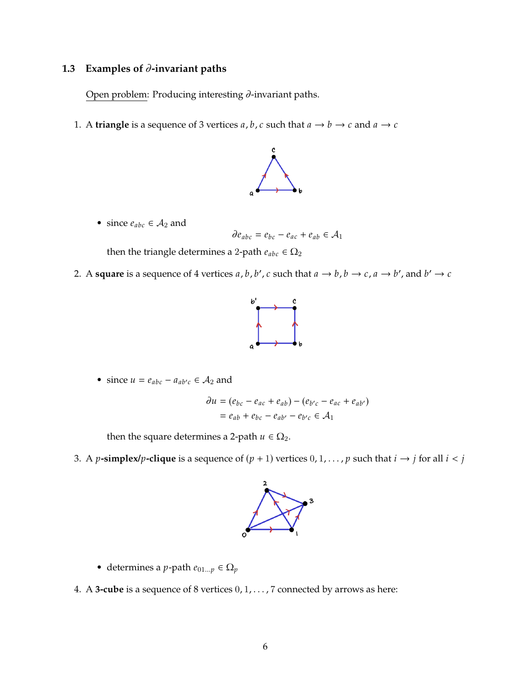## <span id="page-5-0"></span>**1.3** Examples of  $\partial$ -invariant paths

Open problem: Producing interesting  $\partial$ -invariant paths.

1. A **triangle** is a sequence of 3 vertices  $a, b, c$  such that  $a \rightarrow b \rightarrow c$  and  $a \rightarrow c$ 



• since  $e_{abc} \in A_2$  and

$$
\partial e_{abc} = e_{bc} - e_{ac} + e_{ab} \in \mathcal{A}_1
$$

then the triangle determines a 2-path  $e_{abc} \in \Omega_2$ 

2. A **square** is a sequence of 4 vertices *a*, *b*, *b'*, *c* such that  $a \rightarrow b$ ,  $b \rightarrow c$ ,  $a \rightarrow b'$ , and  $b' \rightarrow c$ 



• since  $u = e_{abc} - a_{ab'c} \in A_2$  and

$$
\partial u = (e_{bc} - e_{ac} + e_{ab}) - (e_{b'c} - e_{ac} + e_{ab'})
$$
  
=  $e_{ab} + e_{bc} - e_{ab'} - e_{b'c} \in A_1$ 

then the square determines a 2-path  $u \in \Omega_2$ .

3. A p-simplex/p-clique is a sequence of  $(p + 1)$  vertices  $0, 1, \ldots, p$  such that  $i \rightarrow j$  for all  $i < j$ 



- determines a *p*-path  $e_{01...p} \in \Omega_p$
- 4. <sup>A</sup> **3-cube** is a sequence of 8 vertices <sup>0</sup>, <sup>1</sup>, . . . , <sup>7</sup> connected by arrows as here: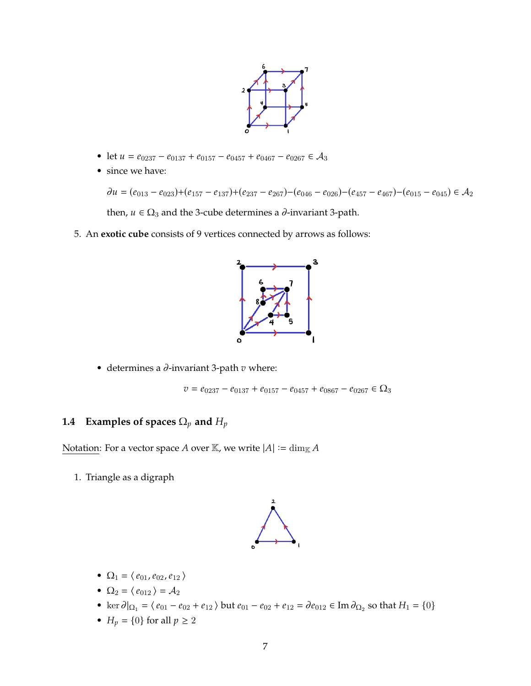

- let  $u = e_{0237} e_{0137} + e_{0157} e_{0457} + e_{0467} e_{0267} \in \mathcal{A}_3$
- since we have:

$$
\partial u = (e_{013} - e_{023}) + (e_{157} - e_{137}) + (e_{237} - e_{267}) - (e_{046} - e_{026}) - (e_{457} - e_{467}) - (e_{015} - e_{045}) \in \mathcal{A}_2
$$

then,  $u \in \Omega_3$  and the 3-cube determines a  $\partial$ -invariant 3-path.

5. An **exotic cube** consists of 9 vertices connected by arrows as follows:



• determines a  $\partial$ -invariant 3-path  $v$  where:

 $v = e_{0237} - e_{0137} + e_{0157} - e_{0457} + e_{0867} - e_{0267} \in \Omega_3$ 

## <span id="page-6-0"></span>**1.4** Examples of spaces  $\Omega_p$  and  $H_p$

Notation: For a vector space A over K, we write  $|A| := \dim_{\mathbb{K}} A$ 

1. Triangle as a digraph



- $\Omega_1 = \langle e_{01}, e_{02}, e_{12} \rangle$
- $\Omega_2 = \langle e_{012} \rangle = \mathcal{A}_2$
- ker  $\partial |_{\Omega_1} = \langle e_{01} e_{02} + e_{12} \rangle$  but  $e_{01} e_{02} + e_{12} = \partial e_{012} \in \text{Im } \partial_{\Omega_2}$  so that  $H_1 = \{0\}$
- $H_p = \{0\}$  for all  $p \ge 2$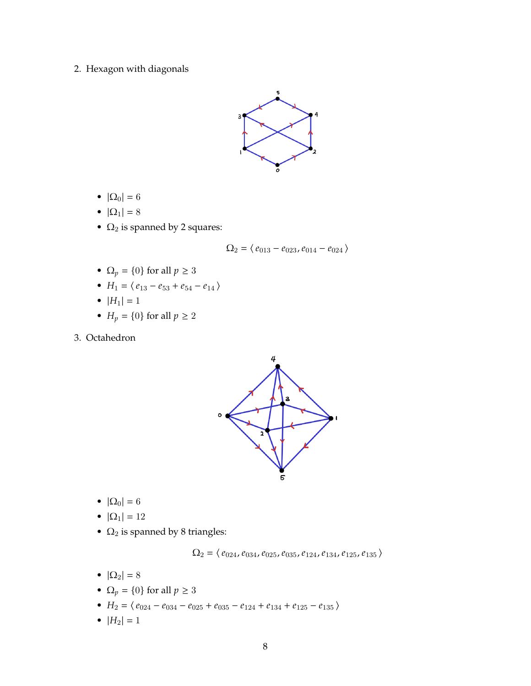2. Hexagon with diagonals



- $|\Omega_0| = 6$
- $|\Omega_1| = 8$
- $\Omega_2$  is spanned by 2 squares:

$$
\Omega_2 = \langle \, e_{013} - e_{023}, e_{014} - e_{024} \, \rangle
$$

- $\Omega_p = \{0\}$  for all  $p \ge 3$
- $H_1 = \langle e_{13} e_{53} + e_{54} e_{14} \rangle$
- $|H_1| = 1$
- $H_p = \{0\}$  for all  $p \ge 2$
- 3. Octahedron



- $|\Omega_0| = 6$
- $|\Omega_1| = 12$
- $\Omega_2$  is spanned by 8 triangles:

 $\Omega_2 = \left\langle \,e_{024}, e_{034}, e_{025}, e_{035}, e_{124}, e_{134}, e_{125}, e_{135}\,\right\rangle$ 

- $|\Omega_2| = 8$
- $\Omega_p = \{0\}$  for all  $p \ge 3$
- $H_2 = \langle e_{024} e_{034} e_{025} + e_{035} e_{124} + e_{134} + e_{125} e_{135} \rangle$
- $|H_2| = 1$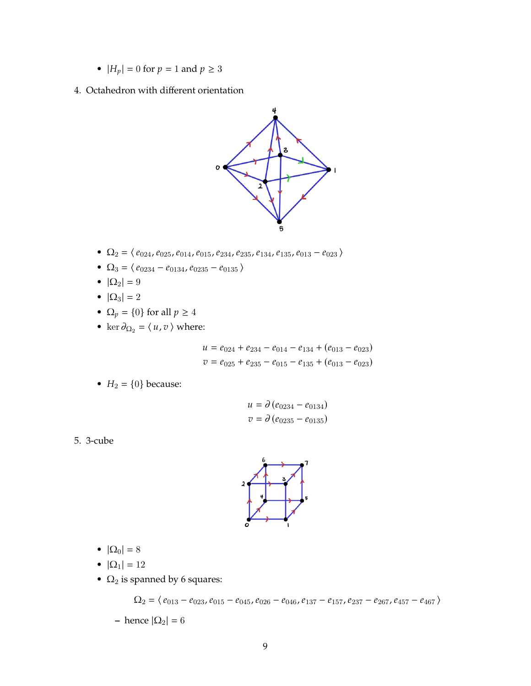- $|H_p| = 0$  for  $p = 1$  and  $p \ge 3$
- 4. Octahedron with different orientation



- $\Omega_2 = \langle e_{024}, e_{025}, e_{014}, e_{015}, e_{234}, e_{235}, e_{134}, e_{135}, e_{013} e_{023} \rangle$
- $\Omega_3 = \langle e_{0234} e_{0134}, e_{0235} e_{0135} \rangle$
- $|\Omega_2| = 9$
- $|\Omega_3| = 2$
- $\Omega_p = \{0\}$  for all  $p \geq 4$
- ker  $\partial_{\Omega_2} = \langle u, v \rangle$  where:

$$
u = e_{024} + e_{234} - e_{014} - e_{134} + (e_{013} - e_{023})
$$
  

$$
v = e_{025} + e_{235} - e_{015} - e_{135} + (e_{013} - e_{023})
$$

•  $H_2 = \{0\}$  because:

$$
u = \partial (e_{0234} - e_{0134})
$$
  

$$
v = \partial (e_{0235} - e_{0135})
$$

5. 3-cube



- $|\Omega_0| = 8$
- $|\Omega_1| = 12$
- $\Omega_2$  is spanned by 6 squares:

$$
\Omega_2 = \langle e_{013} - e_{023}, e_{015} - e_{045}, e_{026} - e_{046}, e_{137} - e_{157}, e_{237} - e_{267}, e_{457} - e_{467} \rangle
$$

**–** hence  $|\Omega_2| = 6$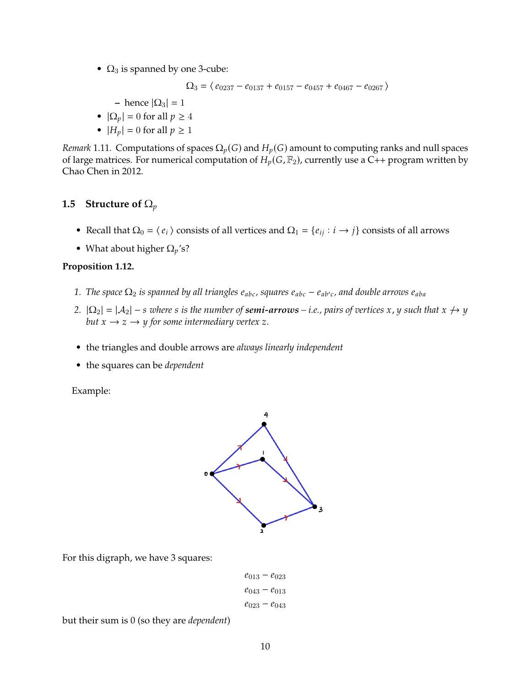•  $\Omega_3$  is spanned by one 3-cube:

 $\Omega_{3} = \left\langle \,e_{0237} - e_{0137} + e_{0157} - e_{0457} + e_{0467} - e_{0267}\,\right\rangle$ 

- **–** hence  $|\Omega_3| = 1$
- $|\Omega_p| = 0$  for all  $p \geq 4$
- $|H_p| = 0$  for all  $p \ge 1$

*Remark* 1.11. Computations of spaces  $\Omega_p(G)$  and  $H_p(G)$  amount to computing ranks and null spaces of large matrices. For numerical computation of  $H_p(G,\mathbb{F}_2)$ , currently use a C++ program written by Chao Chen in 2012.

#### <span id="page-9-0"></span>**1.5 Structure of**  $\Omega_p$

- Recall that  $\Omega_0 = \langle e_i \rangle$  consists of all vertices and  $\Omega_1 = \{e_{ij} : i \to j\}$  consists of all arrows
- What about higher  $\Omega_n$ 's?

#### **Proposition 1.12.**

- $1.$  *The space*  $\Omega_2$  *is spanned by all triangles e<sub>abc</sub>, squares e<sub>abc</sub> e<sub>ab'c</sub>, and double arrows e<sub>aba</sub>*
- *2.*  $|\Omega_2| = |\mathcal{A}_2| s$  *where s is the number of semi-arrows i.e., pairs of vertices x*, *y such that*  $x \nrightarrow y$ *but*  $x \rightarrow z \rightarrow y$  *for some intermediary vertex* z.
- the triangles and double arrows are *always linearly independent*
- the squares can be *dependent*

Example:



For this digraph, we have 3 squares:

$$
e_{013} - e_{023}
$$

$$
e_{043} - e_{013}
$$

$$
e_{023} - e_{043}
$$

but their sum is 0 (so they are *dependent*)